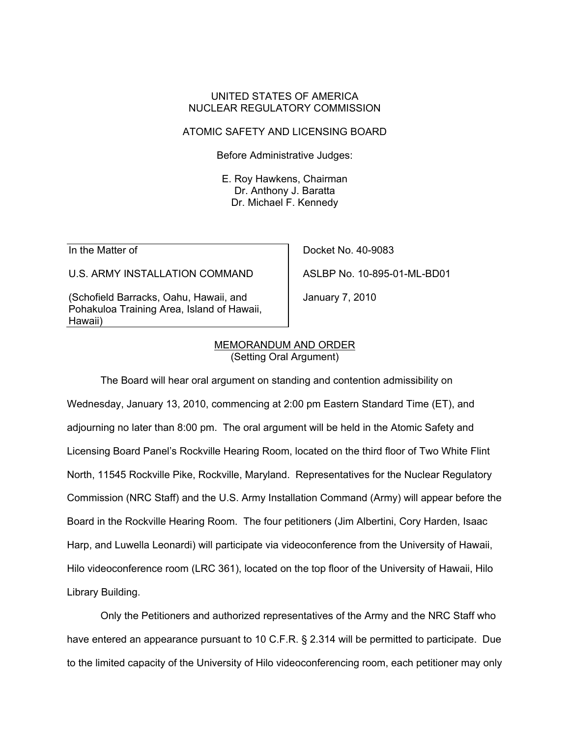# UNITED STATES OF AMERICA NUCLEAR REGULATORY COMMISSION

# ATOMIC SAFETY AND LICENSING BOARD

Before Administrative Judges:

E. Roy Hawkens, Chairman Dr. Anthony J. Baratta Dr. Michael F. Kennedy

In the Matter of

U.S. ARMY INSTALLATION COMMAND

(Schofield Barracks, Oahu, Hawaii, and Pohakuloa Training Area, Island of Hawaii, Hawaii)

Docket No. 40-9083 ASLBP No. 10-895-01-ML-BD01

January 7, 2010

#### MEMORANDUM AND ORDER (Setting Oral Argument)

 The Board will hear oral argument on standing and contention admissibility on Wednesday, January 13, 2010, commencing at 2:00 pm Eastern Standard Time (ET), and adjourning no later than 8:00 pm. The oral argument will be held in the Atomic Safety and Licensing Board Panel's Rockville Hearing Room, located on the third floor of Two White Flint North, 11545 Rockville Pike, Rockville, Maryland. Representatives for the Nuclear Regulatory Commission (NRC Staff) and the U.S. Army Installation Command (Army) will appear before the Board in the Rockville Hearing Room. The four petitioners (Jim Albertini, Cory Harden, Isaac Harp, and Luwella Leonardi) will participate via videoconference from the University of Hawaii, Hilo videoconference room (LRC 361), located on the top floor of the University of Hawaii, Hilo Library Building.

 Only the Petitioners and authorized representatives of the Army and the NRC Staff who have entered an appearance pursuant to 10 C.F.R. § 2.314 will be permitted to participate. Due to the limited capacity of the University of Hilo videoconferencing room, each petitioner may only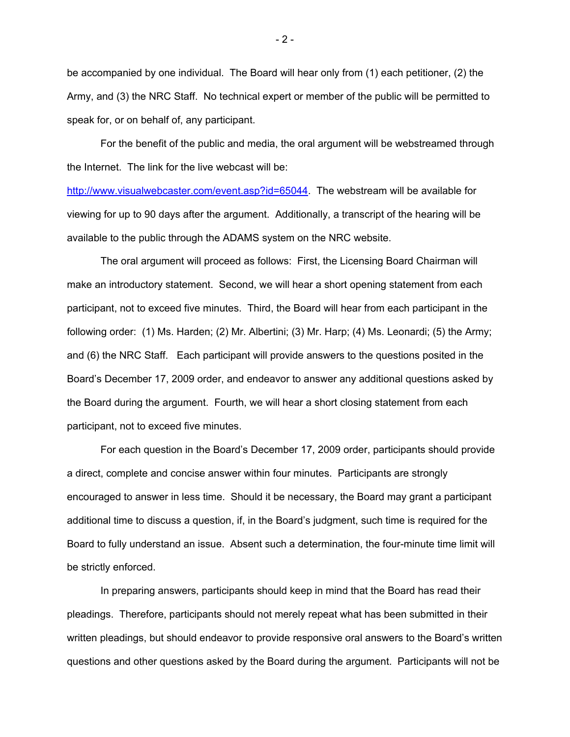be accompanied by one individual. The Board will hear only from (1) each petitioner, (2) the Army, and (3) the NRC Staff. No technical expert or member of the public will be permitted to speak for, or on behalf of, any participant.

 For the benefit of the public and media, the oral argument will be webstreamed through the Internet. The link for the live webcast will be:

http://www.visualwebcaster.com/event.asp?id=65044. The webstream will be available for viewing for up to 90 days after the argument. Additionally, a transcript of the hearing will be available to the public through the ADAMS system on the NRC website.

 The oral argument will proceed as follows: First, the Licensing Board Chairman will make an introductory statement. Second, we will hear a short opening statement from each participant, not to exceed five minutes. Third, the Board will hear from each participant in the following order: (1) Ms. Harden; (2) Mr. Albertini; (3) Mr. Harp; (4) Ms. Leonardi; (5) the Army; and (6) the NRC Staff. Each participant will provide answers to the questions posited in the Board's December 17, 2009 order, and endeavor to answer any additional questions asked by the Board during the argument. Fourth, we will hear a short closing statement from each participant, not to exceed five minutes.

 For each question in the Board's December 17, 2009 order, participants should provide a direct, complete and concise answer within four minutes. Participants are strongly encouraged to answer in less time. Should it be necessary, the Board may grant a participant additional time to discuss a question, if, in the Board's judgment, such time is required for the Board to fully understand an issue. Absent such a determination, the four-minute time limit will be strictly enforced.

 In preparing answers, participants should keep in mind that the Board has read their pleadings. Therefore, participants should not merely repeat what has been submitted in their written pleadings, but should endeavor to provide responsive oral answers to the Board's written questions and other questions asked by the Board during the argument. Participants will not be

- 2 -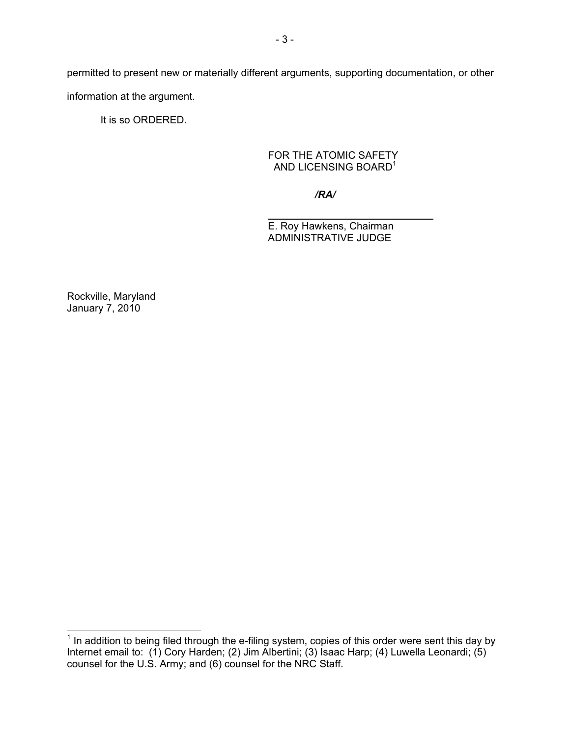permitted to present new or materially different arguments, supporting documentation, or other information at the argument.

It is so ORDERED.

## FOR THE ATOMIC SAFETY AND LICENSING BOARD<sup>1</sup>

*/RA/*

\_\_\_\_\_\_\_\_\_\_\_\_\_\_\_\_\_\_\_\_\_\_\_\_\_\_\_\_\_ E. Roy Hawkens, Chairman ADMINISTRATIVE JUDGE

Rockville, Maryland January 7, 2010

**The mode of the condition**<br><sup>1</sup> In addition to being filed through the e-filing system, copies of this order were sent this day by Internet email to: (1) Cory Harden; (2) Jim Albertini; (3) Isaac Harp; (4) Luwella Leonardi; (5) counsel for the U.S. Army; and (6) counsel for the NRC Staff.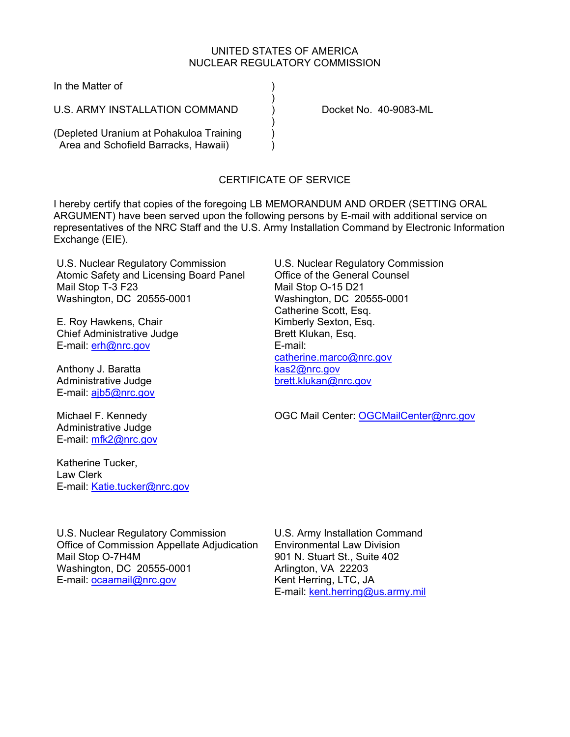## UNITED STATES OF AMERICA NUCLEAR REGULATORY COMMISSION

In the Matter of (1)

) and the contract of  $\mathcal{L}$ U.S. ARMY INSTALLATION COMMAND  $\qquad$  Docket No. 40-9083-ML

(Depleted Uranium at Pohakuloa Training ) Area and Schofield Barracks, Hawaii)  $\qquad \qquad$  )

) and the contract of  $\mathcal{L}$ 

# CERTIFICATE OF SERVICE

I hereby certify that copies of the foregoing LB MEMORANDUM AND ORDER (SETTING ORAL ARGUMENT) have been served upon the following persons by E-mail with additional service on representatives of the NRC Staff and the U.S. Army Installation Command by Electronic Information Exchange (EIE).

U.S. Nuclear Regulatory Commission Atomic Safety and Licensing Board Panel Mail Stop T-3 F23 Washington, DC 20555-0001

E. Roy Hawkens, Chair Chief Administrative Judge E-mail: erh@nrc.gov

Anthony J. Baratta Administrative Judge E-mail: ajb5@nrc.gov

Michael F. Kennedy Administrative Judge E-mail: mfk2@nrc.gov

Katherine Tucker, Law Clerk E-mail: Katie.tucker@nrc.gov U.S. Nuclear Regulatory Commission Office of the General Counsel Mail Stop O-15 D21 Washington, DC 20555-0001 Catherine Scott, Esq. Kimberly Sexton, Esq. Brett Klukan, Esq. E-mail: catherine.marco@nrc.gov kas2@nrc.gov brett.klukan@nrc.gov

OGC Mail Center: OGCMailCenter@nrc.gov

U.S. Nuclear Regulatory Commission Office of Commission Appellate Adjudication Mail Stop O-7H4M Washington, DC 20555-0001 E-mail: ocaamail@nrc.gov

U.S. Army Installation Command Environmental Law Division 901 N. Stuart St., Suite 402 Arlington, VA 22203 Kent Herring, LTC, JA E-mail: kent.herring@us.army.mil